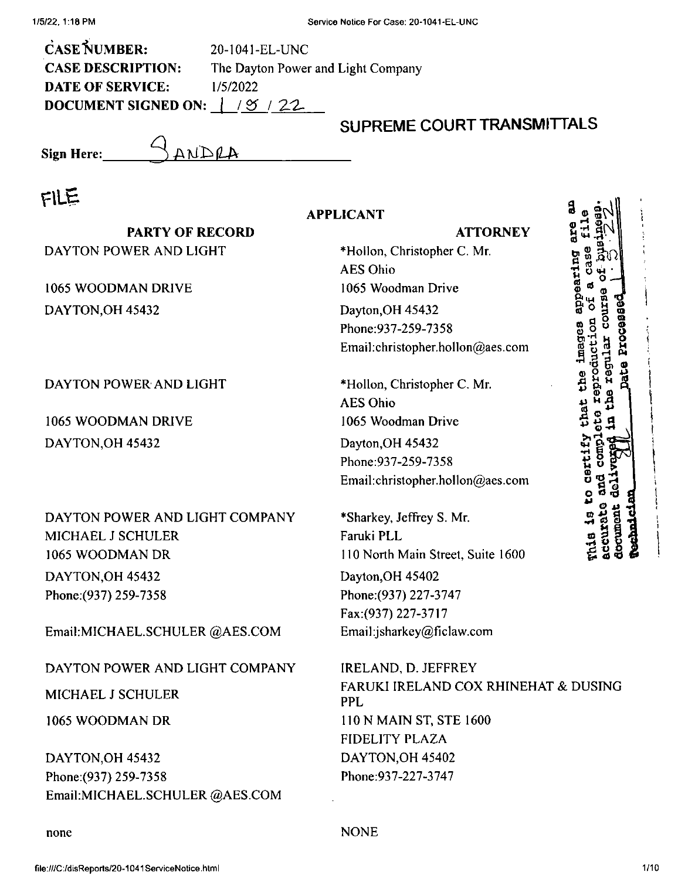CASE NUMBER: **CASE DESCRIPTION: DATE OF SERVICE:** *DOCUMENT SIGNED ON:*  $\vert$  /  $\varnothing$  / 22 20-1041-EL-UNC The Dayton Power and Light Company 1/5/2022

ANDRA

## **SUPREME COURT TRANSMITTALS**

**Sign Here:**

# FILE

| سیالات                                                                      | <b>APPLICANT</b>                                                                             | a                                  |
|-----------------------------------------------------------------------------|----------------------------------------------------------------------------------------------|------------------------------------|
| <b>PARTY OF RECORD</b>                                                      | <b>ATTORNEY</b>                                                                              |                                    |
| DAYTON POWER AND LIGHT                                                      | *Hollon, Christopher C. Mr.<br><b>AES Ohio</b>                                               | aring                              |
| 1065 WOODMAN DRIVE                                                          | 1065 Woodman Drive                                                                           |                                    |
| DAYTON, OH 45432                                                            | Dayton, OH 45432<br>Phone: 937-259-7358<br>Email:christopher.hollon@aes.com                  |                                    |
| DAYTON POWER AND LIGHT                                                      | *Hollon, Christopher C. Mr.<br><b>AES Ohio</b>                                               | Ě                                  |
| 1065 WOODMAN DRIVE                                                          | 1065 Woodman Drive                                                                           | that<br>C                          |
| DAYTON, OH 45432                                                            | Dayton, OH 45432<br>Phone: 937-259-7358<br>Email:christopher.hollon@aes.com                  | <b>Dertif</b>                      |
| DAYTON POWER AND LIGHT COMPANY<br>MICHAEL J SCHULER<br>1065 WOODMAN DR      | *Sharkey, Jeffrey S. Mr.<br>Faruki PLL<br>110 North Main Street, Suite 1600                  | <b>accurate</b><br>document<br>mia |
| DAYTON, OH 45432<br>Phone: (937) 259-7358<br>Email:MICHAEL.SCHULER @AES.COM | Dayton, OH 45402<br>Phone: (937) 227-3747<br>Fax:(937) 227-3717<br>Email:jsharkey@ficlaw.com |                                    |
| DAYTON POWER AND LIGHT COMPANY                                              | IRELAND, D. JEFFREY<br><b>FARUKI IRELAND COX RHINEHAT &amp; DUSING</b>                       |                                    |
| <b>MICHAEL J SCHULER</b>                                                    | <b>PPL</b>                                                                                   |                                    |
| 1065 WOODMAN DR                                                             | 110 N MAIN ST, STE 1600<br>FIDELITY PLAZA                                                    |                                    |
| DAYTON OH 45432<br>Phone: (937) 259-7358<br>Email:MICHAEL.SCHULER @AES.COM  | DAYTON, OH 45402<br>Phone: 937-227-3747                                                      |                                    |

none NONE

**I**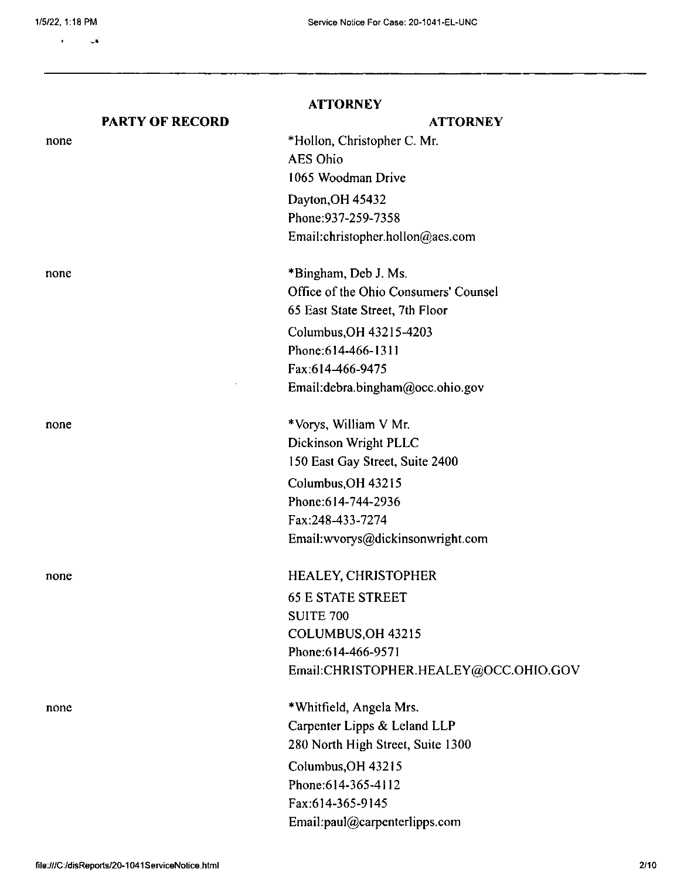none

none

none

none

none

 $\mathbf{r}$  $\omega$ 

### **PARTY OF RECORD**

### **ATTORNEY**

## Dayton,OH 45432 Phone;937-259-7358 Email:christopher.hollon@aes.com \*Vorys, William V Mr. Dickinson Wright PLLC 150 East Gay Street, Suite 2400 Columbus,OH 43215 Phone:614-744-2936 Fax:248-433-7274 Email:wvorys@dickinsonwright.com \*Whitfield, Angela Mrs. Carpenter Lipps & Leland LLP 280 North High Street, Suite 1300 Columbus,OH 43215 HEALEY, CHRISTOPHER 65 E STATE STREET SUITE 700 COLUMBUS,OH 43215 Phone:614-466-9571 Email:CHRISTOPHER,HEALEY@OCC.OHIO.GOV **ATTORNEY** \*Hollon, Christopher C. Mr. AES Ohio 1065 Woodman Drive \*Bingham, Deb J. Ms. Office of the Ohio Consumers' Counsel 65 East State Street, 7th Floor Columbus,OH 43215-4203 Phone:614-466-1311 Fax:6I4^66-9475 Email:debra.bingham@occ.ohio.gov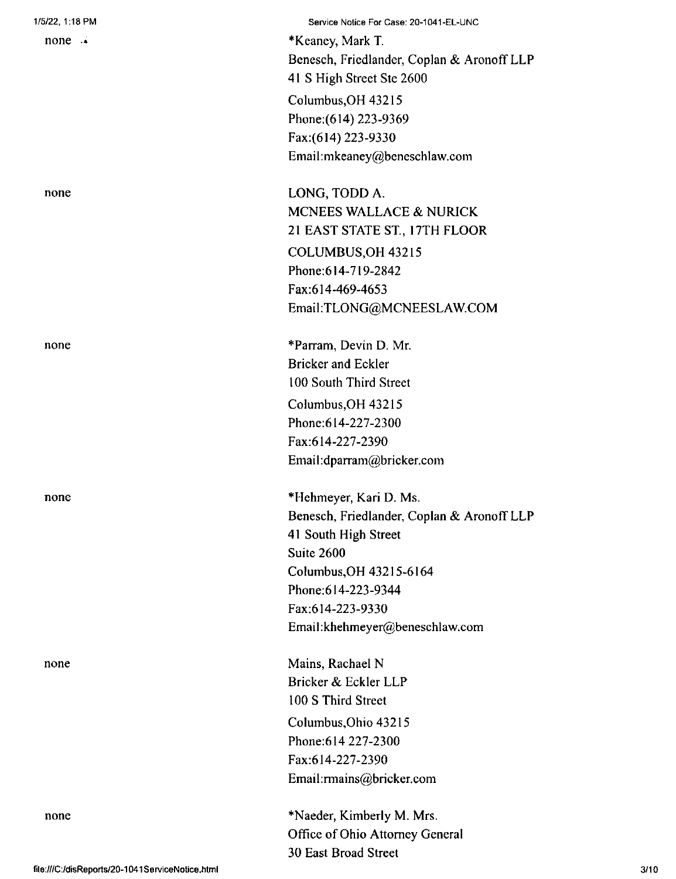| 1/5/22, 1:18 PM    | Service Notice For Case: 20-1041-EL-UNC    |
|--------------------|--------------------------------------------|
| $none \rightarrow$ | *Keaney, Mark T.                           |
|                    | Benesch, Friedlander, Coplan & Aronoff LLP |
|                    | 41 S High Street Ste 2600                  |
|                    | Columbus, OH 43215                         |
|                    | Phone: (614) 223-9369                      |
|                    | Fax:(614) 223-9330                         |
|                    | Email:mkeaney@beneschlaw.com               |
| none               | LONG, TODD A.                              |
|                    | MCNEES WALLACE & NURICK                    |
|                    | 21 EAST STATE ST., 17TH FLOOR              |
|                    | COLUMBUS, OH 43215                         |
|                    | Phone: 614-719-2842                        |
|                    | Fax:614-469-4653                           |
|                    | Email:TLONG@MCNEESLAW.COM                  |
| none               | *Parram, Devin D. Mr.                      |
|                    | <b>Bricker and Eckler</b>                  |
|                    | 100 South Third Street                     |
|                    | Columbus, OH 43215                         |
|                    | Phone: 614-227-2300                        |
|                    | Fax:614-227-2390                           |
|                    | Email:dparram@bricker.com                  |
| none               | *Hehmeyer, Kari D. Ms.                     |
|                    | Benesch, Friedlander, Coplan & Aronoff LLP |
|                    | 41 South High Street                       |
|                    | Suite 2600                                 |
|                    | Columbus, OH 43215-6164                    |
|                    | Phone: 614-223-9344                        |
|                    | Fax:614-223-9330                           |
|                    | Email:khehmeyer@beneschlaw.com             |
| none               | Mains, Rachael N                           |
|                    | Bricker & Eckler LLP                       |
|                    | 100 S Third Street                         |
|                    | Columbus, Ohio 43215                       |
|                    | Phone: 614 227-2300                        |
|                    | Fax:614-227-2390                           |
|                    | Email:rmains@bricker.com                   |
| none               | *Naeder, Kimberly M. Mrs.                  |
|                    | Office of Ohio Attorney General            |
|                    | 30 East Broad Street                       |
|                    |                                            |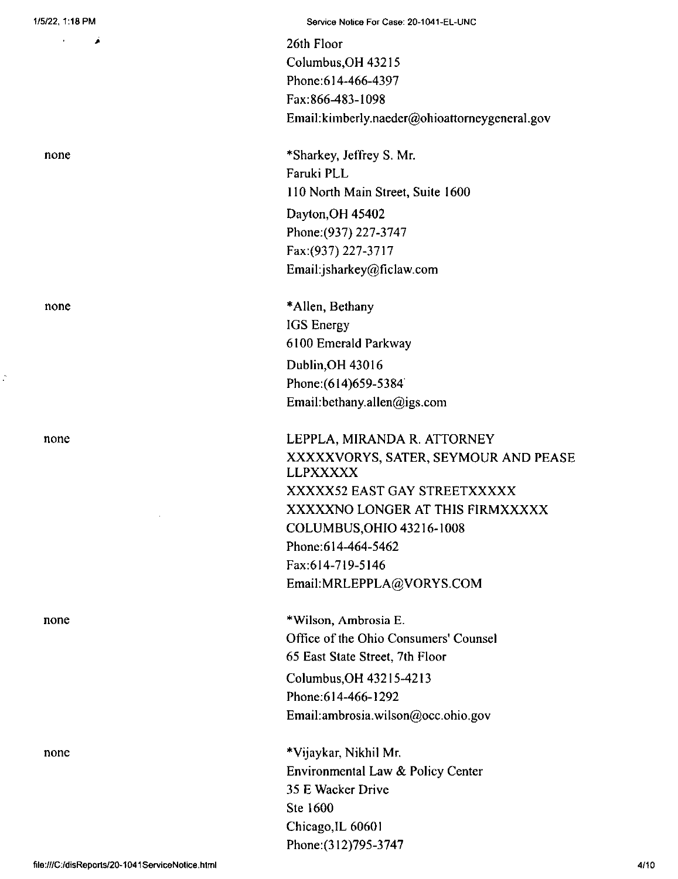$\mathbf{u}^{\mathrm{max}}$ 

**>**

none

none

none

Á

none

none

26th Floor Columbus,OH 43215 Phone:614-466-4397 Fax:866-483-1098 Email:kimberly.naeder@ohioattomeygeneral.gov

\*Sharkey, Jeffrey S. Mr. Faruki PLL <sup>I</sup> lO North Main Street, Suite 1600 Dayton,OH 45402 Phone;(937) 227-3747 Fax:(937) 227-3717 Email:jsharkey@ficlaw.com

\*Allen, Bethany IGS Energy 6100 Emerald Parkway Dublin,OH 43016 Phone:(614)659-5384 Email:bethany.allen@igs.com

LEPPLA, MIRANDA R. ATTORNEY XXXXXVORYS, SATER, SEYMOUR AND PEASE LLPXXXXX XXXXX52 EAST GAY STREETXXXXX XXXXXNO LONGER AT THIS FIRMXXXXX COLUMBUS,OHIO 43216-1008 Phone:614-464-5462 Fax:614-719-5146 Email;MRLEPPLA@VORYS.COM

\*Wilson, Ambrosia E. Office of the Ohio Consumers' Counsel 65 East State Street, 7th Floor Columbus,OH 43215-4213 Phone;614-466-1292 Email:ambrosia.wilson@occ.ohio.gov

\*Vijaykar, Nikhil Mr. Environmental Law & Policy Center 35 E Wacker Drive Ste 1600 Chicago,IL 60601 Phone:(312)795-3747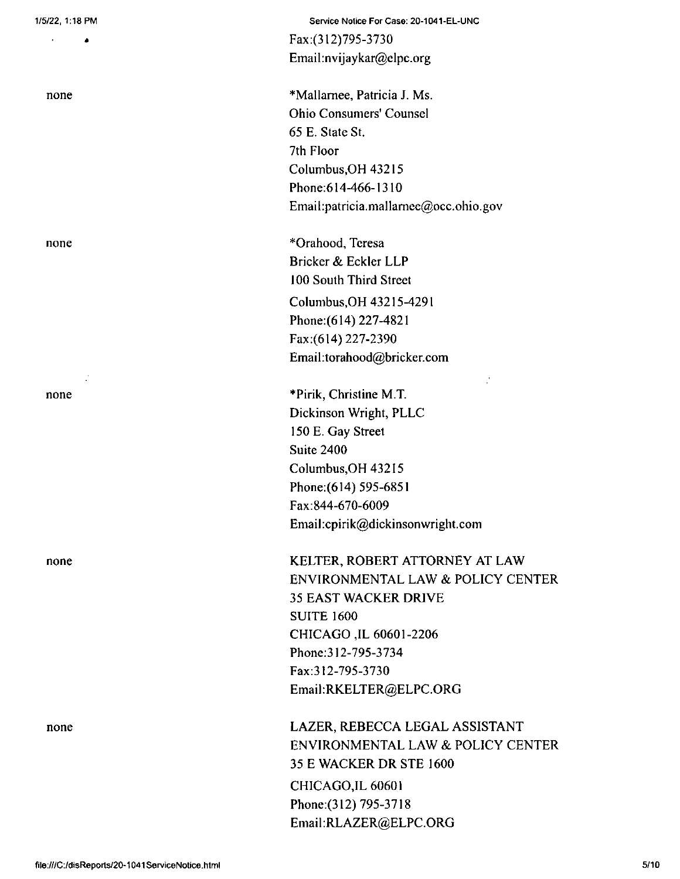4

none

none

 $\mathcal{L}$ 

none

none

none

Service Notice For Case: 20-1041-EL-UNC Fax:(312)795-3730 Email:nvijaykar@elpc.org

\*Mallamee, Patricia J. Ms. Ohio Consumers' Counsel 65 E. State St. 7th Floor Columbus,OH 43215 Phone:614-466-1310 Email:patricia.mallarnee@occ.ohio.gov

\*Orahood, Teresa Bricker & Eckler LLP 100 South Third Street Columbus,OH 43215-4291 Phone:(6l4) 227-4821 Fax:(614) 227-2390 Email:torahood@bricker.com

\*Pirik, Christine M.T. Dickinson Wright, PLLC 150 E. Gay Street Suite 2400 Columbus,OH 43215 Phone:(614) 595-6851 Fax:844-670-6009 Email:cpirik@dickinsonwright.com

KELTER, ROBERT ATTORNEY AT LAW ENVIRONMENTAL LAW & POLICY CENTER 35 EAST WACKER DRIVE SUITE 1600 CHICAGO ,IL 60601-2206 Phone;312-795-3734 Fax:312-795-3730 Email:RKELTER@ELPC.ORG

 $\frac{1}{2}$ 

CHICAGO,IL 60601 Phone:(312) 795-3718 Email:RLAZER@ELPC.ORG LAZER, REBECCA LEGAL ASSISTANT ENVIRONMENTAL LAW & POLICY CENTER 35 E WACKER DR STE 1600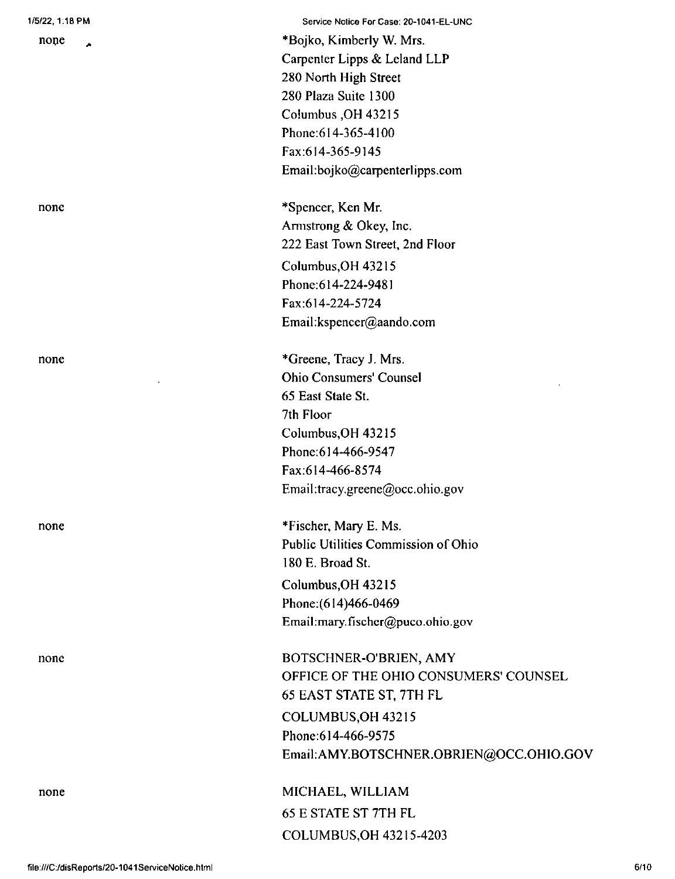| 1/5/22, 1:18 PM |  |  |
|-----------------|--|--|
|-----------------|--|--|

none Á

#### none

none

none

none

none

Service Nolice For Case: 20-1041-EL-UNC \*Bojko, Kimberly W. Mrs. Carpenter Lipps & Leland LLP 280 North High Street 280 Plaza Suite 1300 Columbus ,OH 43215 Phone:614-365-4100 Fax:614-365-9145 Email:bojko@carpenterlipps.com

\*Spencer, Ken Mr. Armstrong & Okey, Inc. 222 East Town Street, 2nd Floor Columbus,OH 43215 Phone:614-224-9481 Fax:614-224-5724 Email:kspencer@aando.com

\*Greene, Tracy J. Mrs. Ohio Consumers' Counsel 65 East State St. 7th Floor Columbus,OH 43215 Phone:614-466-9547 Fax:614-466-8574 Email:tracy.greene@occ.ohio.gov

\*Fischer, Mary E. Ms. Public Utilities Commission of Ohio 180 E. Broad St. Columbus,OH 43215 Phone:(614)466-0469 Email:mary.fischer@puco.ohio.gov

BOTSCHNER-O'BRIEN, AMY OFFICE OF THE OHIO CONSUMERS' COUNSEL 65 EAST STATE ST, 7TH FL COLUMBUS,OH 43215 Phone:614-466-9575 Email:AMY.BOTSCHNER.OBRIEN@OCC.OHIO.GOV

COLUMBUS,OH 43215-4203 MICHAEL, WILLIAM 65 E STATE ST 7TH FL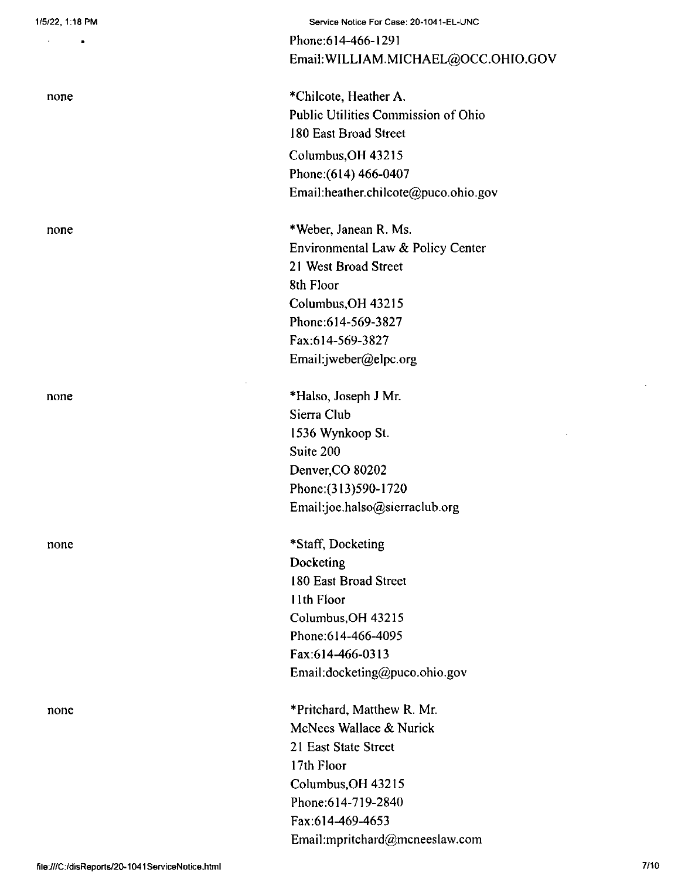$\bullet$ 

 $\bar{\mathbf{r}}$ 

none

none

none

none

none

Service Notice For Case: 20-1041-EL-UNC

Phone:614-466-1291 Email: WILLIAM.MICHAEL@OCC.OHIO.GOV

\*ChiIcote, Heather A. Public Utilities Commission of Ohio i 80 East Broad Street Columbus,OH 43215 Phone:(614) 466-0407 Email:heather.chilcote@puco.ohio.gov

\*Weber, Janean R. Ms. Environmental Law & Policy Center 2<sup>1</sup> West Broad Street Sth Floor Columbus,OH 43215 Phone:614-569-3827 Fax:614-569-3827 Emaihjweber@elpc.org

\*Halso, Joseph J Mr. Sierra Club 1536 Wynkoop St. Suite 200 Denver,CO 80202 Phone:(313)590-1720 Email:joe.halso@sierraclub.org

\*Staff, Docketing Docketing i 80 East Broad Street 11th Floor Columbus,OH 43215 Phone:614-466-4095 Fax:614-466-0313 Email:docketing@puco.Ohio.gov

\* Pritchard, Matthew R. Mr. McNees Wallace & Nurick 21 East State Street 17th Floor Columbus,OH 43215 Phone:614-719-2840 Fax:614-469-4653 Email:mpritchard@mcneeslaw.com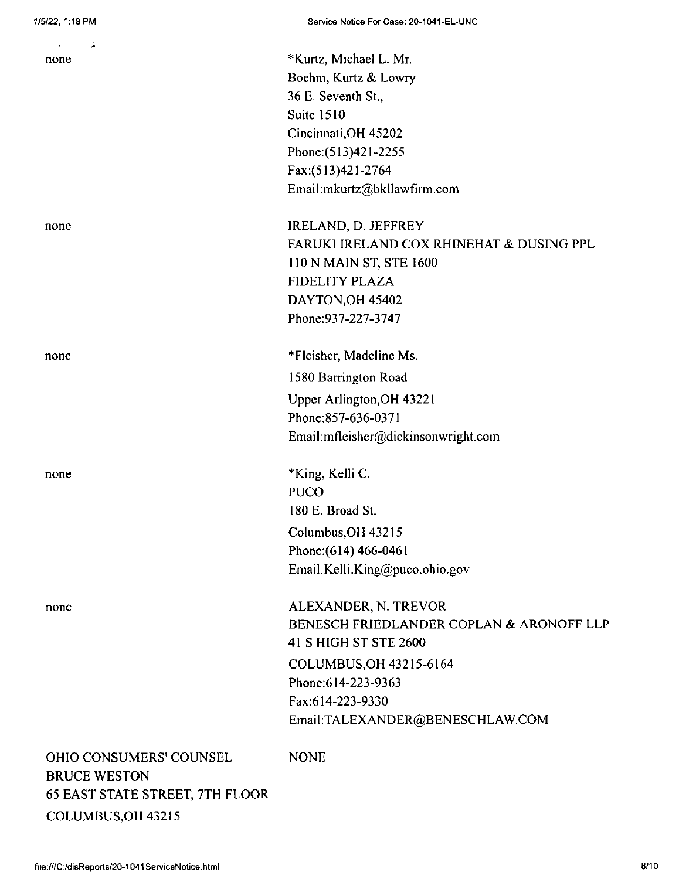| ä.<br>$\bullet$                        |                                                  |
|----------------------------------------|--------------------------------------------------|
| none                                   | *Kurtz, Michael L. Mr.                           |
|                                        | Boehm, Kurtz & Lowry                             |
|                                        | 36 E. Seventh St.,<br><b>Suite 1510</b>          |
|                                        |                                                  |
|                                        | Cincinnati, OH 45202                             |
|                                        | Phone: (513)421-2255                             |
|                                        | Fax:(513)421-2764<br>Email:mkurtz@bkllawfirm.com |
|                                        |                                                  |
| none                                   | IRELAND, D. JEFFREY                              |
|                                        | FARUKI IRELAND COX RHINEHAT & DUSING PPL         |
|                                        | 110 N MAIN ST, STE 1600                          |
|                                        | <b>FIDELITY PLAZA</b>                            |
|                                        | DAYTON OH 45402                                  |
|                                        | Phone: 937-227-3747                              |
| none                                   | *Fleisher, Madeline Ms.                          |
|                                        | 1580 Barrington Road                             |
|                                        | Upper Arlington, OH 43221                        |
|                                        | Phone:857-636-0371                               |
|                                        | Email:mfleisher@dickinsonwright.com              |
| none                                   | *King, Kelli C.                                  |
|                                        | <b>PUCO</b>                                      |
|                                        | 180 E. Broad St.                                 |
|                                        | Columbus OH 43215                                |
|                                        | Phone: (614) 466-0461                            |
|                                        | Email:Kelli.King@puco.ohio.gov                   |
|                                        |                                                  |
| none                                   | ALEXANDER, N. TREVOR                             |
|                                        | BENESCH FRIEDLANDER COPLAN & ARONOFF LLP         |
|                                        | 41 S HIGH ST STE 2600                            |
|                                        | COLUMBUS, OH 43215-6164                          |
|                                        | Phone: 614-223-9363                              |
|                                        | Fax:614-223-9330                                 |
|                                        | Email:TALEXANDER@BENESCHLAW.COM                  |
| <b>OHIO CONSUMERS' COUNSEL</b>         | <b>NONE</b>                                      |
| <b>BRUCE WESTON</b>                    |                                                  |
| <b>65 EAST STATE STREET, 7TH FLOOR</b> |                                                  |
| COLUMBUS, OH 43215                     |                                                  |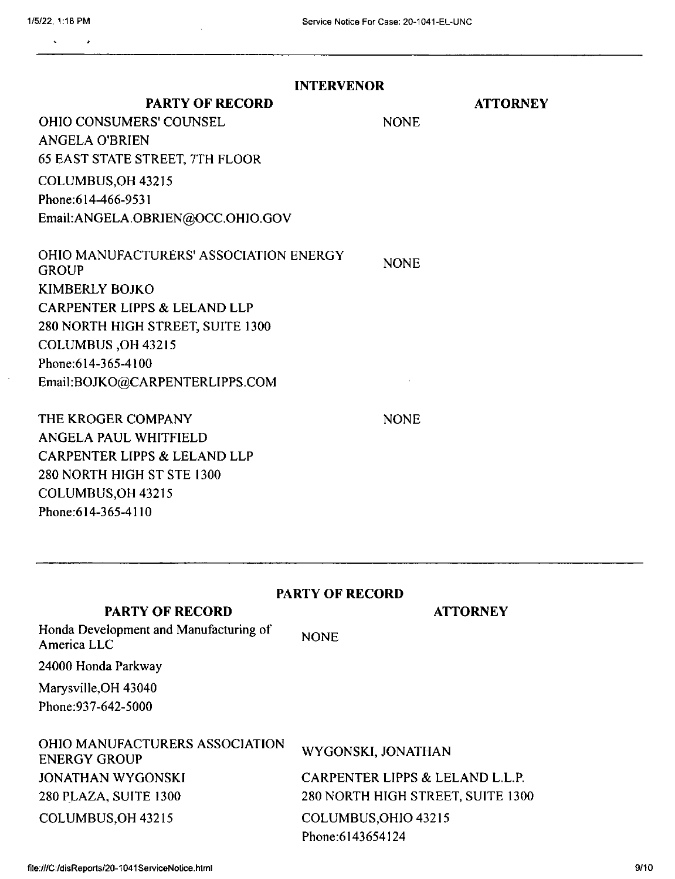$\bar{z}$ 

| <b>INTERVENOR</b>                                      |                                   |  |  |  |
|--------------------------------------------------------|-----------------------------------|--|--|--|
| <b>PARTY OF RECORD</b>                                 | <b>ATTORNEY</b>                   |  |  |  |
| <b>OHIO CONSUMERS' COUNSEL</b>                         | <b>NONE</b>                       |  |  |  |
| <b>ANGELA O'BRIEN</b>                                  |                                   |  |  |  |
| <b>65 EAST STATE STREET, 7TH FLOOR</b>                 |                                   |  |  |  |
| COLUMBUS, OH 43215                                     |                                   |  |  |  |
| Phone: 614-466-9531                                    |                                   |  |  |  |
| Email:ANGELA.OBRIEN@OCC.OHIO.GOV                       |                                   |  |  |  |
| OHIO MANUFACTURERS' ASSOCIATION ENERGY<br><b>GROUP</b> | <b>NONE</b>                       |  |  |  |
| <b>KIMBERLY BOJKO</b>                                  |                                   |  |  |  |
| <b>CARPENTER LIPPS &amp; LELAND LLP</b>                |                                   |  |  |  |
| 280 NORTH HIGH STREET, SUITE 1300                      |                                   |  |  |  |
| COLUMBUS, OH 43215                                     |                                   |  |  |  |
| Phone: 614-365-4100                                    |                                   |  |  |  |
| Email:BOJKO@CARPENTERLIPPS.COM                         |                                   |  |  |  |
| THE KROGER COMPANY                                     | <b>NONE</b>                       |  |  |  |
| ANGELA PAUL WHITFIELD                                  |                                   |  |  |  |
| <b>CARPENTER LIPPS &amp; LELAND LLP</b>                |                                   |  |  |  |
| 280 NORTH HIGH ST STE 1300                             |                                   |  |  |  |
| COLUMBUS, OH 43215                                     |                                   |  |  |  |
| Phone: 614-365-4110                                    |                                   |  |  |  |
| <b>PARTY OF RECORD</b>                                 |                                   |  |  |  |
| <b>PARTY OF RECORD</b>                                 | <b>ATTORNEY</b>                   |  |  |  |
| Honda Development and Manufacturing of<br>America LLC  | <b>NONE</b>                       |  |  |  |
| 24000 Honda Parkway                                    |                                   |  |  |  |
| Marysville, OH 43040                                   |                                   |  |  |  |
| Phone: 937-642-5000                                    |                                   |  |  |  |
| OHIO MANUFACTURERS ASSOCIATION<br><b>ENERGY GROUP</b>  | WYGONSKI, JONATHAN                |  |  |  |
| <b>JONATHAN WYGONSKI</b>                               | CARPENTER LIPPS & LELAND L.L.P.   |  |  |  |
| 280 PLAZA, SUITE 1300                                  | 280 NORTH HIGH STREET, SUITE 1300 |  |  |  |
| COLUMBUS, OH 43215                                     | COLUMBUS, OHIO 43215              |  |  |  |

Phone:6I43654124